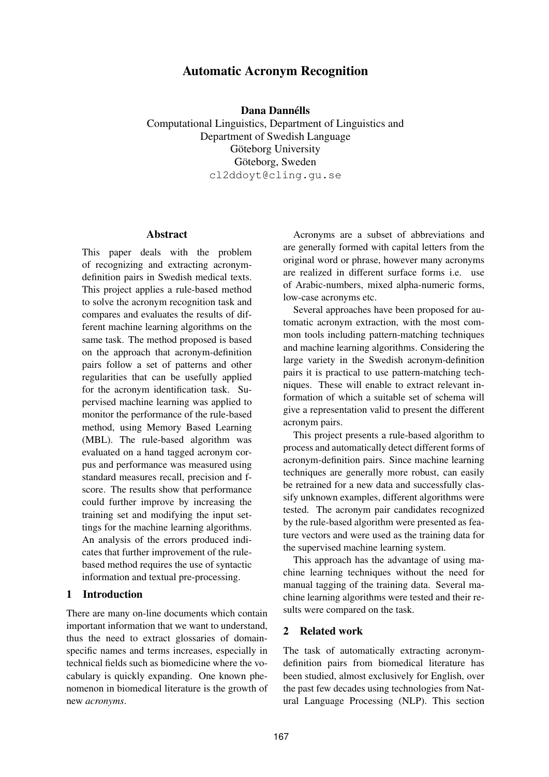# **Automatic Acronym Recognition**

**Dana Dannells ´**

Computational Linguistics, Department of Linguistics and Department of Swedish Language Göteborg University Göteborg, Sweden cl2ddoyt@cling.gu.se

#### **Abstract**

This paper deals with the problem of recognizing and extracting acronymdefinition pairs in Swedish medical texts. This project applies a rule-based method to solve the acronym recognition task and compares and evaluates the results of different machine learning algorithms on the same task. The method proposed is based on the approach that acronym-definition pairs follow a set of patterns and other regularities that can be usefully applied for the acronym identification task. Supervised machine learning was applied to monitor the performance of the rule-based method, using Memory Based Learning (MBL). The rule-based algorithm was evaluated on a hand tagged acronym corpus and performance was measured using standard measures recall, precision and fscore. The results show that performance could further improve by increasing the training set and modifying the input settings for the machine learning algorithms. An analysis of the errors produced indicates that further improvement of the rulebased method requires the use of syntactic information and textual pre-processing.

## **1 Introduction**

There are many on-line documents which contain important information that we want to understand, thus the need to extract glossaries of domainspecific names and terms increases, especially in technical fields such as biomedicine where the vocabulary is quickly expanding. One known phenomenon in biomedical literature is the growth of new *acronyms*.

Acronyms are a subset of abbreviations and are generally formed with capital letters from the original word or phrase, however many acronyms are realized in different surface forms i.e. use of Arabic-numbers, mixed alpha-numeric forms, low-case acronyms etc.

Several approaches have been proposed for automatic acronym extraction, with the most common tools including pattern-matching techniques and machine learning algorithms. Considering the large variety in the Swedish acronym-definition pairs it is practical to use pattern-matching techniques. These will enable to extract relevant information of which a suitable set of schema will give a representation valid to present the different acronym pairs.

This project presents a rule-based algorithm to process and automatically detect different forms of acronym-definition pairs. Since machine learning techniques are generally more robust, can easily be retrained for a new data and successfully classify unknown examples, different algorithms were tested. The acronym pair candidates recognized by the rule-based algorithm were presented as feature vectors and were used as the training data for the supervised machine learning system.

This approach has the advantage of using machine learning techniques without the need for manual tagging of the training data. Several machine learning algorithms were tested and their results were compared on the task.

## **2 Related work**

The task of automatically extracting acronymdefinition pairs from biomedical literature has been studied, almost exclusively for English, over the past few decades using technologies from Natural Language Processing (NLP). This section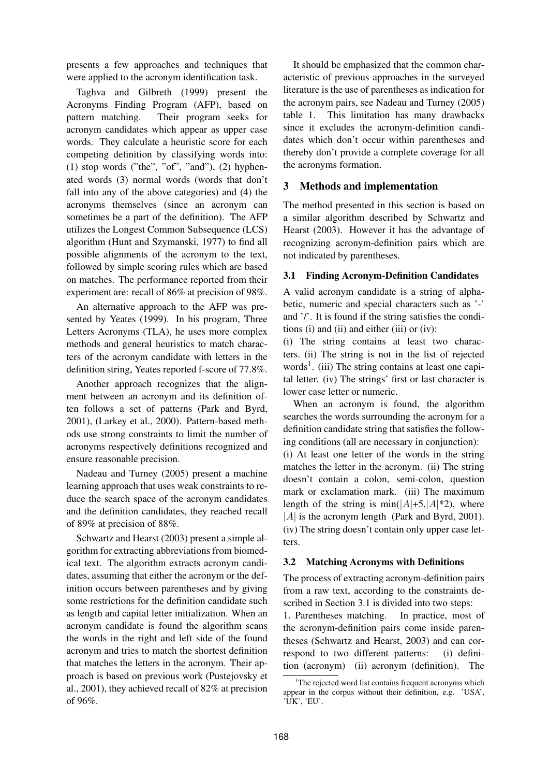presents a few approaches and techniques that were applied to the acronym identification task.

Taghva and Gilbreth (1999) present the Acronyms Finding Program (AFP), based on pattern matching. Their program seeks for acronym candidates which appear as upper case words. They calculate a heuristic score for each competing definition by classifying words into:  $(1)$  stop words ("the", "of", "and"),  $(2)$  hyphenated words (3) normal words (words that don't fall into any of the above categories) and (4) the acronyms themselves (since an acronym can sometimes be a part of the definition). The AFP utilizes the Longest Common Subsequence (LCS) algorithm (Hunt and Szymanski, 1977) to find all possible alignments of the acronym to the text, followed by simple scoring rules which are based on matches. The performance reported from their experiment are: recall of 86% at precision of 98%.

An alternative approach to the AFP was presented by Yeates (1999). In his program, Three Letters Acronyms (TLA), he uses more complex methods and general heuristics to match characters of the acronym candidate with letters in the definition string, Yeates reported f-score of 77.8%.

Another approach recognizes that the alignment between an acronym and its definition often follows a set of patterns (Park and Byrd, 2001), (Larkey et al., 2000). Pattern-based methods use strong constraints to limit the number of acronyms respectively definitions recognized and ensure reasonable precision.

Nadeau and Turney (2005) present a machine learning approach that uses weak constraints to reduce the search space of the acronym candidates and the definition candidates, they reached recall of 89% at precision of 88%.

Schwartz and Hearst (2003) present a simple algorithm for extracting abbreviations from biomedical text. The algorithm extracts acronym candidates, assuming that either the acronym or the definition occurs between parentheses and by giving some restrictions for the definition candidate such as length and capital letter initialization. When an acronym candidate is found the algorithm scans the words in the right and left side of the found acronym and tries to match the shortest definition that matches the letters in the acronym. Their approach is based on previous work (Pustejovsky et al., 2001), they achieved recall of 82% at precision of 96%.

It should be emphasized that the common characteristic of previous approaches in the surveyed literature is the use of parentheses as indication for the acronym pairs, see Nadeau and Turney (2005) table 1. This limitation has many drawbacks since it excludes the acronym-definition candidates which don't occur within parentheses and thereby don't provide a complete coverage for all the acronyms formation.

#### **3 Methods and implementation**

The method presented in this section is based on a similar algorithm described by Schwartz and Hearst (2003). However it has the advantage of recognizing acronym-definition pairs which are not indicated by parentheses.

#### **3.1 Finding Acronym-Definition Candidates**

A valid acronym candidate is a string of alphabetic, numeric and special characters such as '-' and '/'. It is found if the string satisfies the conditions (i) and (ii) and either (iii) or (iv):

(i) The string contains at least two characters. (ii) The string is not in the list of rejected words<sup>1</sup>. (iii) The string contains at least one capital letter. (iv) The strings' first or last character is lower case letter or numeric.

When an acronym is found, the algorithm searches the words surrounding the acronym for a definition candidate string that satisfies the following conditions (all are necessary in conjunction):

(i) At least one letter of the words in the string matches the letter in the acronym. (ii) The string doesn't contain a colon, semi-colon, question mark or exclamation mark. (iii) The maximum length of the string is min( $|A|$ +5, $|A|$ <sup>\*2</sup>), where  $|A|$  is the acronym length (Park and Byrd, 2001). (iv) The string doesn't contain only upper case letters.

#### **3.2 Matching Acronyms with Definitions**

The process of extracting acronym-definition pairs from a raw text, according to the constraints described in Section 3.1 is divided into two steps:

1. Parentheses matching. In practice, most of the acronym-definition pairs come inside parentheses (Schwartz and Hearst, 2003) and can correspond to two different patterns: (i) definition (acronym) (ii) acronym (definition). The

<sup>&</sup>lt;sup>1</sup>The rejected word list contains frequent acronyms which appear in the corpus without their definition, e.g. 'USA', 'UK', 'EU'.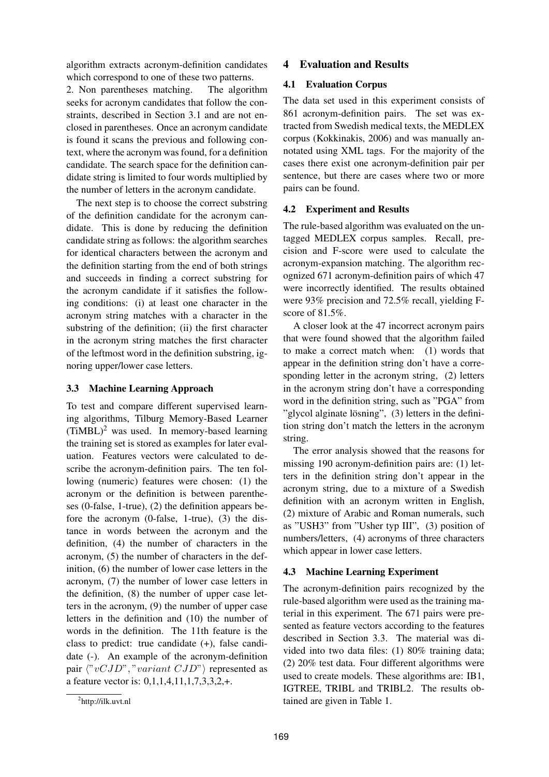algorithm extracts acronym-definition candidates which correspond to one of these two patterns.

2. Non parentheses matching. The algorithm seeks for acronym candidates that follow the constraints, described in Section 3.1 and are not enclosed in parentheses. Once an acronym candidate is found it scans the previous and following context, where the acronym was found, for a definition candidate. The search space for the definition candidate string is limited to four words multiplied by the number of letters in the acronym candidate.

The next step is to choose the correct substring of the definition candidate for the acronym candidate. This is done by reducing the definition candidate string as follows: the algorithm searches for identical characters between the acronym and the definition starting from the end of both strings and succeeds in finding a correct substring for the acronym candidate if it satisfies the following conditions: (i) at least one character in the acronym string matches with a character in the substring of the definition; (ii) the first character in the acronym string matches the first character of the leftmost word in the definition substring, ignoring upper/lower case letters.

## **3.3 Machine Learning Approach**

To test and compare different supervised learning algorithms, Tilburg Memory-Based Learner  $(TiMBL)^2$  was used. In memory-based learning the training set is stored as examples for later evaluation. Features vectors were calculated to describe the acronym-definition pairs. The ten following (numeric) features were chosen: (1) the acronym or the definition is between parentheses (0-false, 1-true), (2) the definition appears before the acronym (0-false, 1-true), (3) the distance in words between the acronym and the definition, (4) the number of characters in the acronym, (5) the number of characters in the definition, (6) the number of lower case letters in the acronym, (7) the number of lower case letters in the definition, (8) the number of upper case letters in the acronym, (9) the number of upper case letters in the definition and (10) the number of words in the definition. The 11th feature is the class to predict: true candidate (+), false candidate (-). An example of the acronym-definition pair  $\langle "vCJD", "variant CJD" \rangle$  represented as a feature vector is: 0,1,1,4,11,1,7,3,3,2,+.

## **4 Evaluation and Results**

### **4.1 Evaluation Corpus**

The data set used in this experiment consists of 861 acronym-definition pairs. The set was extracted from Swedish medical texts, the MEDLEX corpus (Kokkinakis, 2006) and was manually annotated using XML tags. For the majority of the cases there exist one acronym-definition pair per sentence, but there are cases where two or more pairs can be found.

## **4.2 Experiment and Results**

The rule-based algorithm was evaluated on the untagged MEDLEX corpus samples. Recall, precision and F-score were used to calculate the acronym-expansion matching. The algorithm recognized 671 acronym-definition pairs of which 47 were incorrectly identified. The results obtained were 93% precision and 72.5% recall, yielding Fscore of 81.5%.

A closer look at the 47 incorrect acronym pairs that were found showed that the algorithm failed to make a correct match when: (1) words that appear in the definition string don't have a corresponding letter in the acronym string, (2) letters in the acronym string don't have a corresponding word in the definition string, such as "PGA" from "glycol alginate lösning", (3) letters in the definition string don't match the letters in the acronym string.

The error analysis showed that the reasons for missing 190 acronym-definition pairs are: (1) letters in the definition string don't appear in the acronym string, due to a mixture of a Swedish definition with an acronym written in English, (2) mixture of Arabic and Roman numerals, such as "USH3" from "Usher typ III", (3) position of numbers/letters, (4) acronyms of three characters which appear in lower case letters.

## **4.3 Machine Learning Experiment**

The acronym-definition pairs recognized by the rule-based algorithm were used as the training material in this experiment. The 671 pairs were presented as feature vectors according to the features described in Section 3.3. The material was divided into two data files: (1) 80% training data; (2) 20% test data. Four different algorithms were used to create models. These algorithms are: IB1, IGTREE, TRIBL and TRIBL2. The results obtained are given in Table 1.

<sup>&</sup>lt;sup>2</sup>http://ilk.uvt.nl